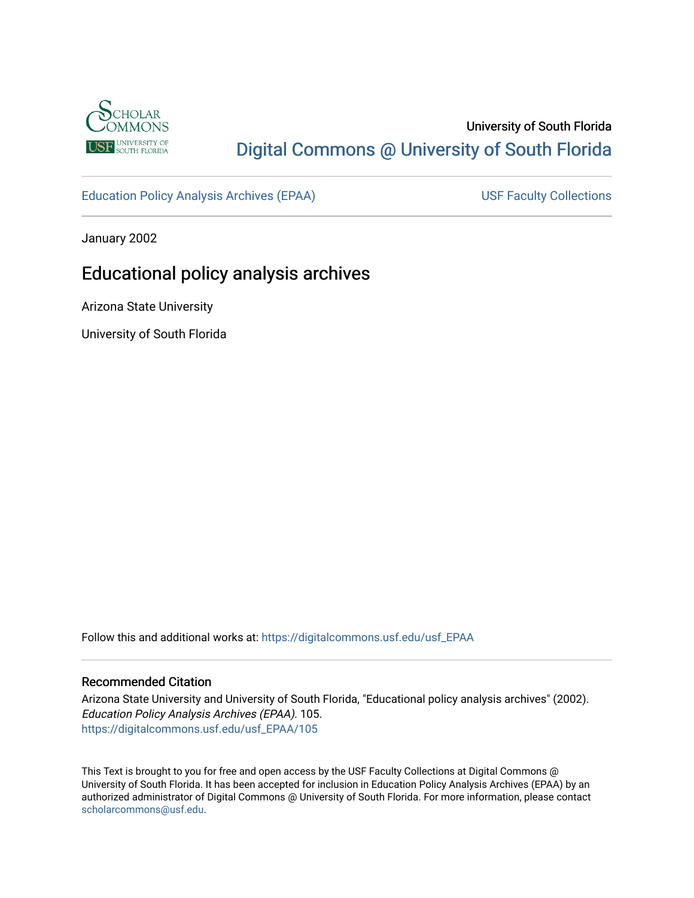

# University of South Florida [Digital Commons @ University of South Florida](https://digitalcommons.usf.edu/)

[Education Policy Analysis Archives \(EPAA\)](https://digitalcommons.usf.edu/usf_EPAA) USF Faculty Collections

January 2002

# Educational policy analysis archives

Arizona State University

University of South Florida

Follow this and additional works at: [https://digitalcommons.usf.edu/usf\\_EPAA](https://digitalcommons.usf.edu/usf_EPAA?utm_source=digitalcommons.usf.edu%2Fusf_EPAA%2F105&utm_medium=PDF&utm_campaign=PDFCoverPages)

### Recommended Citation

Arizona State University and University of South Florida, "Educational policy analysis archives" (2002). Education Policy Analysis Archives (EPAA). 105. [https://digitalcommons.usf.edu/usf\\_EPAA/105](https://digitalcommons.usf.edu/usf_EPAA/105?utm_source=digitalcommons.usf.edu%2Fusf_EPAA%2F105&utm_medium=PDF&utm_campaign=PDFCoverPages)

This Text is brought to you for free and open access by the USF Faculty Collections at Digital Commons @ University of South Florida. It has been accepted for inclusion in Education Policy Analysis Archives (EPAA) by an authorized administrator of Digital Commons @ University of South Florida. For more information, please contact [scholarcommons@usf.edu.](mailto:scholarcommons@usf.edu)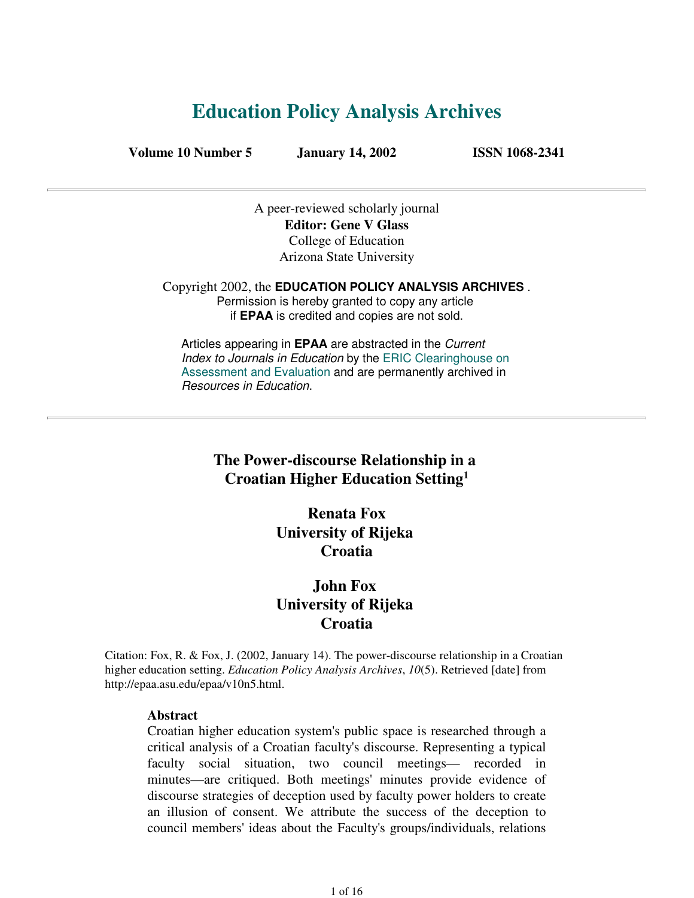# **Education Policy Analysis Archives**

**Volume 10 Number 5 January 14, 2002 ISSN 1068-2341**

A peer-reviewed scholarly journal **Editor: Gene V Glass** College of Education Arizona State University

Copyright 2002, the **EDUCATION POLICY ANALYSIS ARCHIVES** . Permission is hereby granted to copy any article if **EPAA** is credited and copies are not sold.

Articles appearing in **EPAA** are abstracted in the Current Index to Journals in Education by the ERIC Clearinghouse on Assessment and Evaluation and are permanently archived in Resources in Education.

## **The Power-discourse Relationship in a Croatian Higher Education Setting<sup>1</sup>**

**Renata Fox University of Rijeka Croatia**

## **John Fox University of Rijeka Croatia**

Citation: Fox, R. & Fox, J. (2002, January 14). The power-discourse relationship in a Croatian higher education setting. *Education Policy Analysis Archives*, *10*(5). Retrieved [date] from http://epaa.asu.edu/epaa/v10n5.html.

### **Abstract**

Croatian higher education system's public space is researched through a critical analysis of a Croatian faculty's discourse. Representing a typical faculty social situation, two council meetings— recorded in minutes—are critiqued. Both meetings' minutes provide evidence of discourse strategies of deception used by faculty power holders to create an illusion of consent. We attribute the success of the deception to council members' ideas about the Faculty's groups/individuals, relations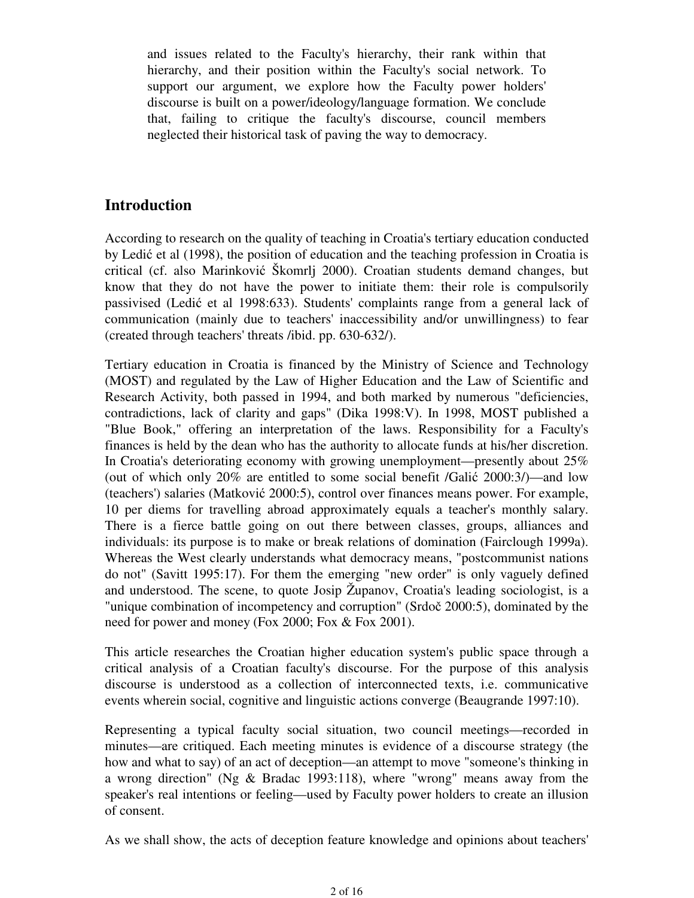and issues related to the Faculty's hierarchy, their rank within that hierarchy, and their position within the Faculty's social network. To support our argument, we explore how the Faculty power holders' discourse is built on a power/ideology/language formation. We conclude that, failing to critique the faculty's discourse, council members neglected their historical task of paving the way to democracy.

## **Introduction**

According to research on the quality of teaching in Croatia's tertiary education conducted by Ledić et al (1998), the position of education and the teaching profession in Croatia is critical (cf. also Marinković Škomrlj 2000). Croatian students demand changes, but know that they do not have the power to initiate them: their role is compulsorily passivised (Ledić et al 1998:633). Students' complaints range from a general lack of communication (mainly due to teachers' inaccessibility and/or unwillingness) to fear (created through teachers' threats /ibid. pp. 630-632/).

Tertiary education in Croatia is financed by the Ministry of Science and Technology (MOST) and regulated by the Law of Higher Education and the Law of Scientific and Research Activity, both passed in 1994, and both marked by numerous "deficiencies, contradictions, lack of clarity and gaps" (Dika 1998:V). In 1998, MOST published a "Blue Book," offering an interpretation of the laws. Responsibility for a Faculty's finances is held by the dean who has the authority to allocate funds at his/her discretion. In Croatia's deteriorating economy with growing unemployment—presently about 25% (out of which only 20% are entitled to some social benefit /Galić 2000:3/)—and low (teachers') salaries (Matković 2000:5), control over finances means power. For example, 10 per diems for travelling abroad approximately equals a teacher's monthly salary. There is a fierce battle going on out there between classes, groups, alliances and individuals: its purpose is to make or break relations of domination (Fairclough 1999a). Whereas the West clearly understands what democracy means, "postcommunist nations do not" (Savitt 1995:17). For them the emerging "new order" is only vaguely defined and understood. The scene, to quote Josip Županov, Croatia's leading sociologist, is a "unique combination of incompetency and corruption" (Srdoč 2000:5), dominated by the need for power and money (Fox 2000; Fox & Fox 2001).

This article researches the Croatian higher education system's public space through a critical analysis of a Croatian faculty's discourse. For the purpose of this analysis discourse is understood as a collection of interconnected texts, i.e. communicative events wherein social, cognitive and linguistic actions converge (Beaugrande 1997:10).

Representing a typical faculty social situation, two council meetings—recorded in minutes—are critiqued. Each meeting minutes is evidence of a discourse strategy (the how and what to say) of an act of deception—an attempt to move "someone's thinking in a wrong direction" (Ng & Bradac 1993:118), where "wrong" means away from the speaker's real intentions or feeling—used by Faculty power holders to create an illusion of consent.

As we shall show, the acts of deception feature knowledge and opinions about teachers'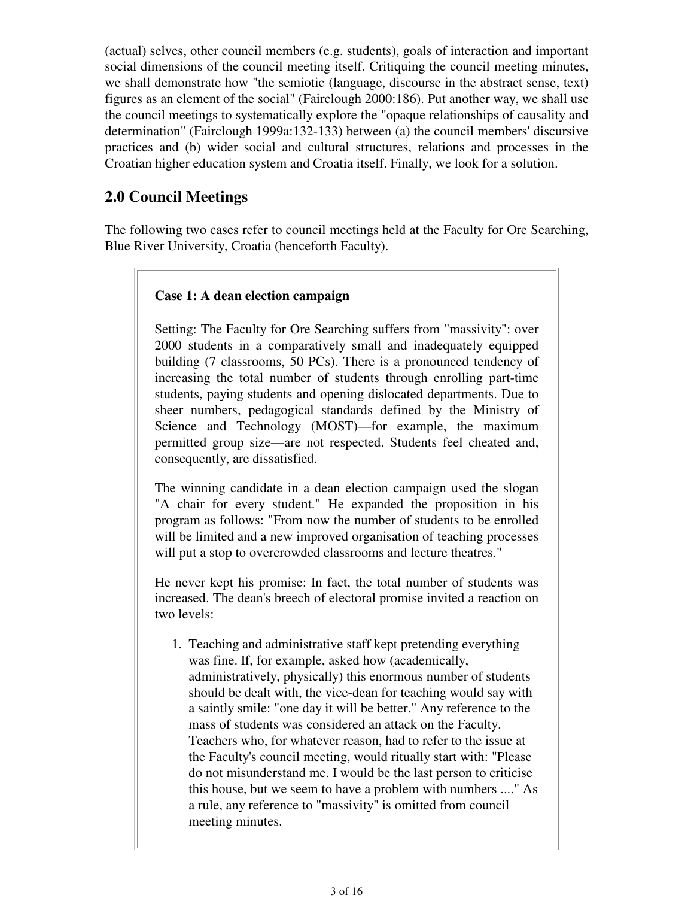(actual) selves, other council members (e.g. students), goals of interaction and important social dimensions of the council meeting itself. Critiquing the council meeting minutes, we shall demonstrate how "the semiotic (language, discourse in the abstract sense, text) figures as an element of the social" (Fairclough 2000:186). Put another way, we shall use the council meetings to systematically explore the "opaque relationships of causality and determination" (Fairclough 1999a:132-133) between (a) the council members' discursive practices and (b) wider social and cultural structures, relations and processes in the Croatian higher education system and Croatia itself. Finally, we look for a solution.

## **2.0 Council Meetings**

The following two cases refer to council meetings held at the Faculty for Ore Searching, Blue River University, Croatia (henceforth Faculty).

## **Case 1: A dean election campaign**

Setting: The Faculty for Ore Searching suffers from "massivity": over 2000 students in a comparatively small and inadequately equipped building (7 classrooms, 50 PCs). There is a pronounced tendency of increasing the total number of students through enrolling part-time students, paying students and opening dislocated departments. Due to sheer numbers, pedagogical standards defined by the Ministry of Science and Technology (MOST)—for example, the maximum permitted group size—are not respected. Students feel cheated and, consequently, are dissatisfied.

The winning candidate in a dean election campaign used the slogan "A chair for every student." He expanded the proposition in his program as follows: "From now the number of students to be enrolled will be limited and a new improved organisation of teaching processes will put a stop to overcrowded classrooms and lecture theatres."

He never kept his promise: In fact, the total number of students was increased. The dean's breech of electoral promise invited a reaction on two levels:

1. Teaching and administrative staff kept pretending everything was fine. If, for example, asked how (academically, administratively, physically) this enormous number of students should be dealt with, the vice-dean for teaching would say with a saintly smile: "one day it will be better." Any reference to the mass of students was considered an attack on the Faculty. Teachers who, for whatever reason, had to refer to the issue at the Faculty's council meeting, would ritually start with: "Please do not misunderstand me. I would be the last person to criticise this house, but we seem to have a problem with numbers ...." As a rule, any reference to "massivity" is omitted from council meeting minutes.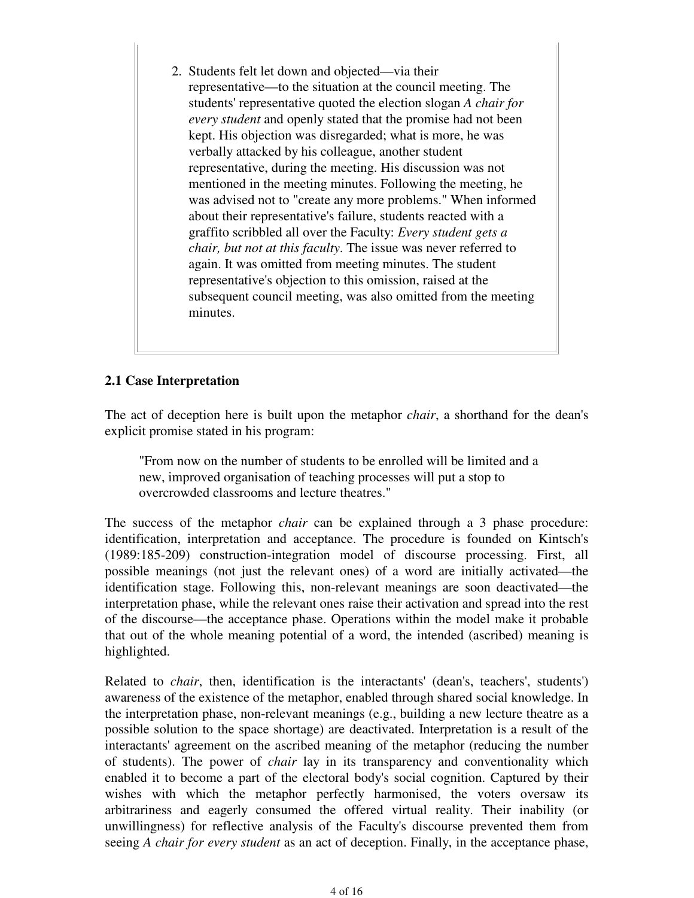2. Students felt let down and objected—via their representative—to the situation at the council meeting. The students' representative quoted the election slogan *A chair for every student* and openly stated that the promise had not been kept. His objection was disregarded; what is more, he was verbally attacked by his colleague, another student representative, during the meeting. His discussion was not mentioned in the meeting minutes. Following the meeting, he was advised not to "create any more problems." When informed about their representative's failure, students reacted with a graffito scribbled all over the Faculty: *Every student gets a chair, but not at this faculty*. The issue was never referred to again. It was omitted from meeting minutes. The student representative's objection to this omission, raised at the subsequent council meeting, was also omitted from the meeting minutes.

## **2.1 Case Interpretation**

The act of deception here is built upon the metaphor *chair*, a shorthand for the dean's explicit promise stated in his program:

"From now on the number of students to be enrolled will be limited and a new, improved organisation of teaching processes will put a stop to overcrowded classrooms and lecture theatres."

The success of the metaphor *chair* can be explained through a 3 phase procedure: identification, interpretation and acceptance. The procedure is founded on Kintsch's (1989:185-209) construction-integration model of discourse processing. First, all possible meanings (not just the relevant ones) of a word are initially activated—the identification stage. Following this, non-relevant meanings are soon deactivated—the interpretation phase, while the relevant ones raise their activation and spread into the rest of the discourse—the acceptance phase. Operations within the model make it probable that out of the whole meaning potential of a word, the intended (ascribed) meaning is highlighted.

Related to *chair*, then, identification is the interactants' (dean's, teachers', students') awareness of the existence of the metaphor, enabled through shared social knowledge. In the interpretation phase, non-relevant meanings (e.g., building a new lecture theatre as a possible solution to the space shortage) are deactivated. Interpretation is a result of the interactants' agreement on the ascribed meaning of the metaphor (reducing the number of students). The power of *chair* lay in its transparency and conventionality which enabled it to become a part of the electoral body's social cognition. Captured by their wishes with which the metaphor perfectly harmonised, the voters oversaw its arbitrariness and eagerly consumed the offered virtual reality. Their inability (or unwillingness) for reflective analysis of the Faculty's discourse prevented them from seeing *A chair for every student* as an act of deception. Finally, in the acceptance phase,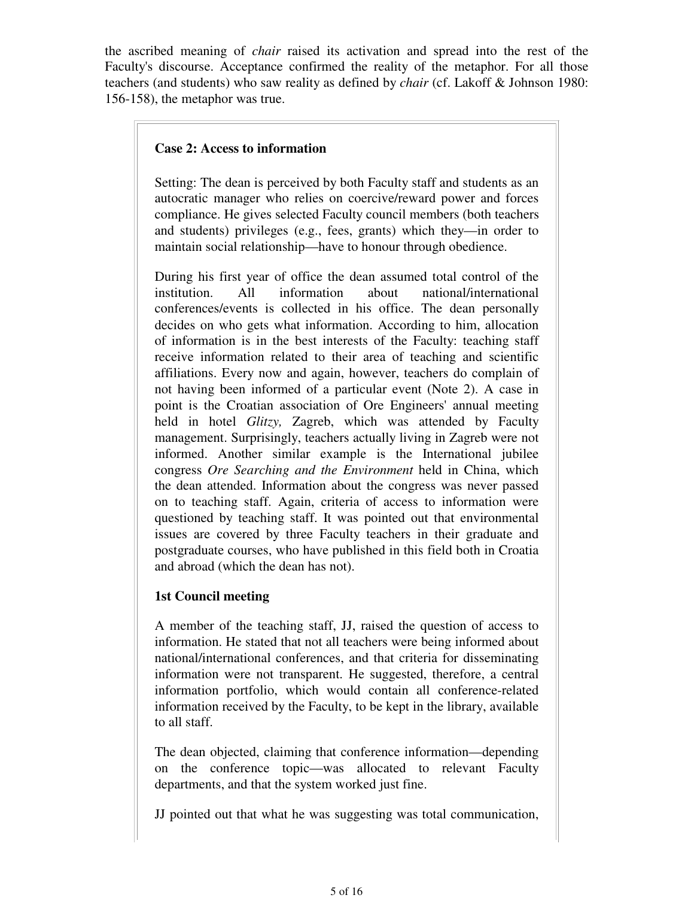the ascribed meaning of *chair* raised its activation and spread into the rest of the Faculty's discourse. Acceptance confirmed the reality of the metaphor. For all those teachers (and students) who saw reality as defined by *chair* (cf. Lakoff & Johnson 1980: 156-158), the metaphor was true.

### **Case 2: Access to information**

Setting: The dean is perceived by both Faculty staff and students as an autocratic manager who relies on coercive/reward power and forces compliance. He gives selected Faculty council members (both teachers and students) privileges (e.g., fees, grants) which they—in order to maintain social relationship—have to honour through obedience.

During his first year of office the dean assumed total control of the institution. All information about national/international conferences/events is collected in his office. The dean personally decides on who gets what information. According to him, allocation of information is in the best interests of the Faculty: teaching staff receive information related to their area of teaching and scientific affiliations. Every now and again, however, teachers do complain of not having been informed of a particular event (Note 2). A case in point is the Croatian association of Ore Engineers' annual meeting held in hotel *Glitzy,* Zagreb, which was attended by Faculty management. Surprisingly, teachers actually living in Zagreb were not informed. Another similar example is the International jubilee congress *Ore Searching and the Environment* held in China, which the dean attended. Information about the congress was never passed on to teaching staff. Again, criteria of access to information were questioned by teaching staff. It was pointed out that environmental issues are covered by three Faculty teachers in their graduate and postgraduate courses, who have published in this field both in Croatia and abroad (which the dean has not).

## **1st Council meeting**

A member of the teaching staff, JJ, raised the question of access to information. He stated that not all teachers were being informed about national/international conferences, and that criteria for disseminating information were not transparent. He suggested, therefore, a central information portfolio, which would contain all conference-related information received by the Faculty, to be kept in the library, available to all staff.

The dean objected, claiming that conference information—depending on the conference topic—was allocated to relevant Faculty departments, and that the system worked just fine.

JJ pointed out that what he was suggesting was total communication,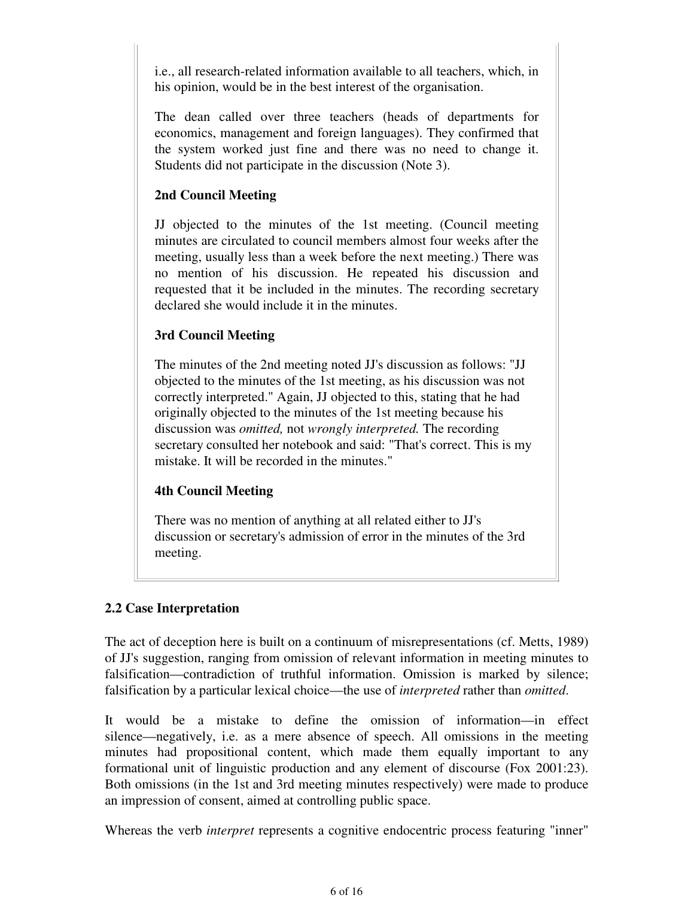i.e., all research-related information available to all teachers, which, in his opinion, would be in the best interest of the organisation.

The dean called over three teachers (heads of departments for economics, management and foreign languages). They confirmed that the system worked just fine and there was no need to change it. Students did not participate in the discussion (Note 3).

### **2nd Council Meeting**

JJ objected to the minutes of the 1st meeting. (Council meeting minutes are circulated to council members almost four weeks after the meeting, usually less than a week before the next meeting.) There was no mention of his discussion. He repeated his discussion and requested that it be included in the minutes. The recording secretary declared she would include it in the minutes.

## **3rd Council Meeting**

The minutes of the 2nd meeting noted JJ's discussion as follows: "JJ objected to the minutes of the 1st meeting, as his discussion was not correctly interpreted." Again, JJ objected to this, stating that he had originally objected to the minutes of the 1st meeting because his discussion was *omitted,* not *wrongly interpreted.* The recording secretary consulted her notebook and said: "That's correct. This is my mistake. It will be recorded in the minutes."

### **4th Council Meeting**

There was no mention of anything at all related either to JJ's discussion or secretary's admission of error in the minutes of the 3rd meeting.

## **2.2 Case Interpretation**

The act of deception here is built on a continuum of misrepresentations (cf. Metts, 1989) of JJ's suggestion, ranging from omission of relevant information in meeting minutes to falsification—contradiction of truthful information. Omission is marked by silence; falsification by a particular lexical choice—the use of *interpreted* rather than *omitted*.

It would be a mistake to define the omission of information—in effect silence—negatively, i.e. as a mere absence of speech. All omissions in the meeting minutes had propositional content, which made them equally important to any formational unit of linguistic production and any element of discourse (Fox 2001:23). Both omissions (in the 1st and 3rd meeting minutes respectively) were made to produce an impression of consent, aimed at controlling public space.

Whereas the verb *interpret* represents a cognitive endocentric process featuring "inner"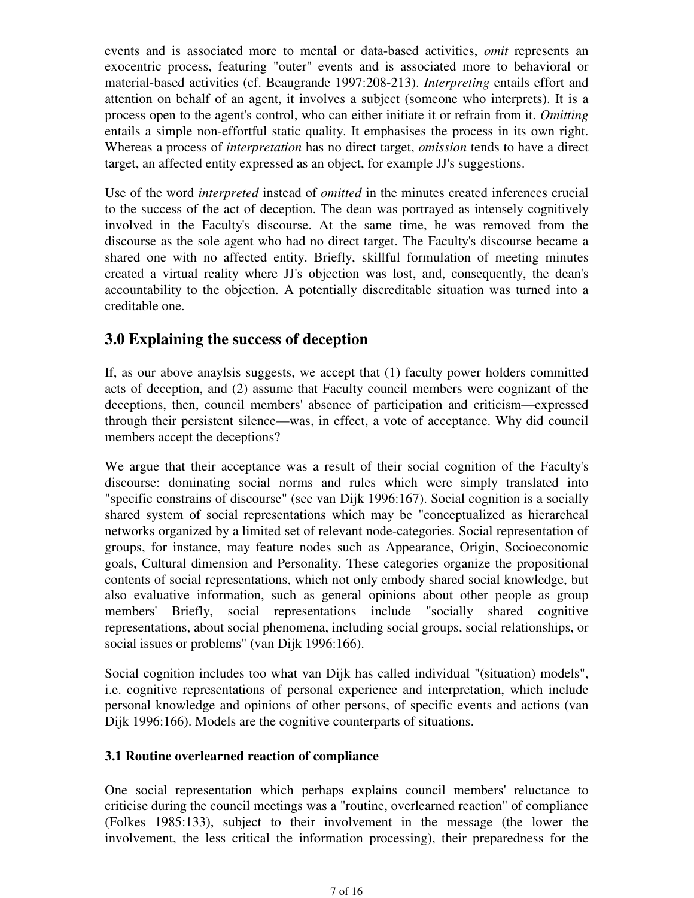events and is associated more to mental or data-based activities, *omit* represents an exocentric process, featuring "outer" events and is associated more to behavioral or material-based activities (cf. Beaugrande 1997:208-213). *Interpreting* entails effort and attention on behalf of an agent, it involves a subject (someone who interprets). It is a process open to the agent's control, who can either initiate it or refrain from it. *Omitting* entails a simple non-effortful static quality. It emphasises the process in its own right. Whereas a process of *interpretation* has no direct target, *omission* tends to have a direct target, an affected entity expressed as an object, for example JJ's suggestions.

Use of the word *interpreted* instead of *omitted* in the minutes created inferences crucial to the success of the act of deception. The dean was portrayed as intensely cognitively involved in the Faculty's discourse. At the same time, he was removed from the discourse as the sole agent who had no direct target. The Faculty's discourse became a shared one with no affected entity. Briefly, skillful formulation of meeting minutes created a virtual reality where JJ's objection was lost, and, consequently, the dean's accountability to the objection. A potentially discreditable situation was turned into a creditable one.

## **3.0 Explaining the success of deception**

If, as our above anaylsis suggests, we accept that (1) faculty power holders committed acts of deception, and (2) assume that Faculty council members were cognizant of the deceptions, then, council members' absence of participation and criticism—expressed through their persistent silence—was, in effect, a vote of acceptance. Why did council members accept the deceptions?

We argue that their acceptance was a result of their social cognition of the Faculty's discourse: dominating social norms and rules which were simply translated into "specific constrains of discourse" (see van Dijk 1996:167). Social cognition is a socially shared system of social representations which may be "conceptualized as hierarchcal networks organized by a limited set of relevant node-categories. Social representation of groups, for instance, may feature nodes such as Appearance, Origin, Socioeconomic goals, Cultural dimension and Personality. These categories organize the propositional contents of social representations, which not only embody shared social knowledge, but also evaluative information, such as general opinions about other people as group members' Briefly, social representations include "socially shared cognitive representations, about social phenomena, including social groups, social relationships, or social issues or problems" (van Dijk 1996:166).

Social cognition includes too what van Dijk has called individual "(situation) models", i.e. cognitive representations of personal experience and interpretation, which include personal knowledge and opinions of other persons, of specific events and actions (van Dijk 1996:166). Models are the cognitive counterparts of situations.

### **3.1 Routine overlearned reaction of compliance**

One social representation which perhaps explains council members' reluctance to criticise during the council meetings was a "routine, overlearned reaction" of compliance (Folkes 1985:133), subject to their involvement in the message (the lower the involvement, the less critical the information processing), their preparedness for the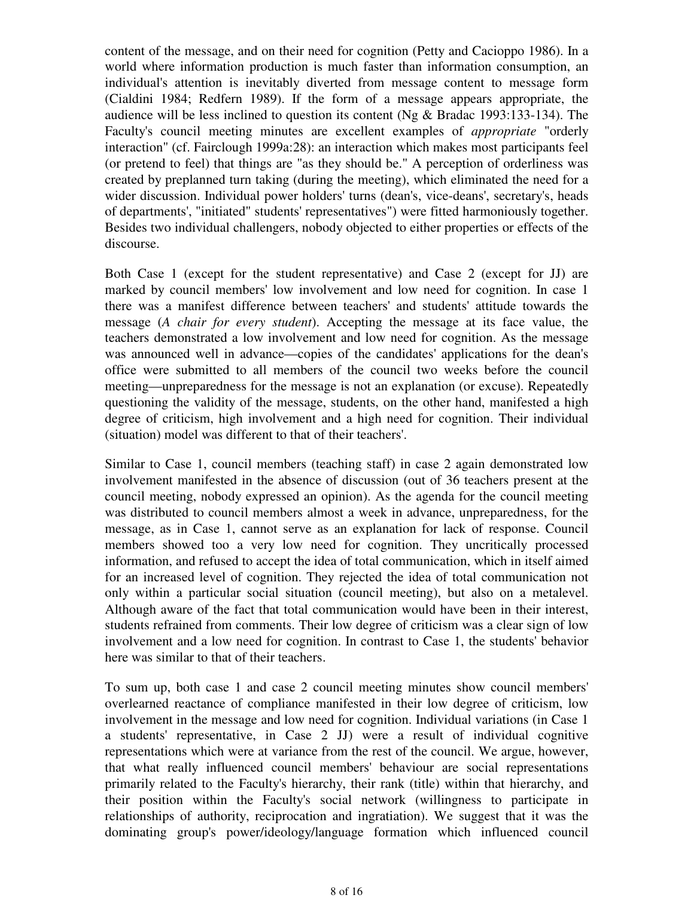content of the message, and on their need for cognition (Petty and Cacioppo 1986). In a world where information production is much faster than information consumption, an individual's attention is inevitably diverted from message content to message form (Cialdini 1984; Redfern 1989). If the form of a message appears appropriate, the audience will be less inclined to question its content (Ng & Bradac 1993:133-134). The Faculty's council meeting minutes are excellent examples of *appropriate* "orderly interaction" (cf. Fairclough 1999a:28): an interaction which makes most participants feel (or pretend to feel) that things are "as they should be." A perception of orderliness was created by preplanned turn taking (during the meeting), which eliminated the need for a wider discussion. Individual power holders' turns (dean's, vice-deans', secretary's, heads of departments', "initiated" students' representatives") were fitted harmoniously together. Besides two individual challengers, nobody objected to either properties or effects of the discourse.

Both Case 1 (except for the student representative) and Case 2 (except for JJ) are marked by council members' low involvement and low need for cognition. In case 1 there was a manifest difference between teachers' and students' attitude towards the message (*A chair for every student*). Accepting the message at its face value, the teachers demonstrated a low involvement and low need for cognition. As the message was announced well in advance—copies of the candidates' applications for the dean's office were submitted to all members of the council two weeks before the council meeting—unpreparedness for the message is not an explanation (or excuse). Repeatedly questioning the validity of the message, students, on the other hand, manifested a high degree of criticism, high involvement and a high need for cognition. Their individual (situation) model was different to that of their teachers'.

Similar to Case 1, council members (teaching staff) in case 2 again demonstrated low involvement manifested in the absence of discussion (out of 36 teachers present at the council meeting, nobody expressed an opinion). As the agenda for the council meeting was distributed to council members almost a week in advance, unpreparedness, for the message, as in Case 1, cannot serve as an explanation for lack of response. Council members showed too a very low need for cognition. They uncritically processed information, and refused to accept the idea of total communication, which in itself aimed for an increased level of cognition. They rejected the idea of total communication not only within a particular social situation (council meeting), but also on a metalevel. Although aware of the fact that total communication would have been in their interest, students refrained from comments. Their low degree of criticism was a clear sign of low involvement and a low need for cognition. In contrast to Case 1, the students' behavior here was similar to that of their teachers.

To sum up, both case 1 and case 2 council meeting minutes show council members' overlearned reactance of compliance manifested in their low degree of criticism, low involvement in the message and low need for cognition. Individual variations (in Case 1 a students' representative, in Case 2 JJ) were a result of individual cognitive representations which were at variance from the rest of the council. We argue, however, that what really influenced council members' behaviour are social representations primarily related to the Faculty's hierarchy, their rank (title) within that hierarchy, and their position within the Faculty's social network (willingness to participate in relationships of authority, reciprocation and ingratiation). We suggest that it was the dominating group's power/ideology/language formation which influenced council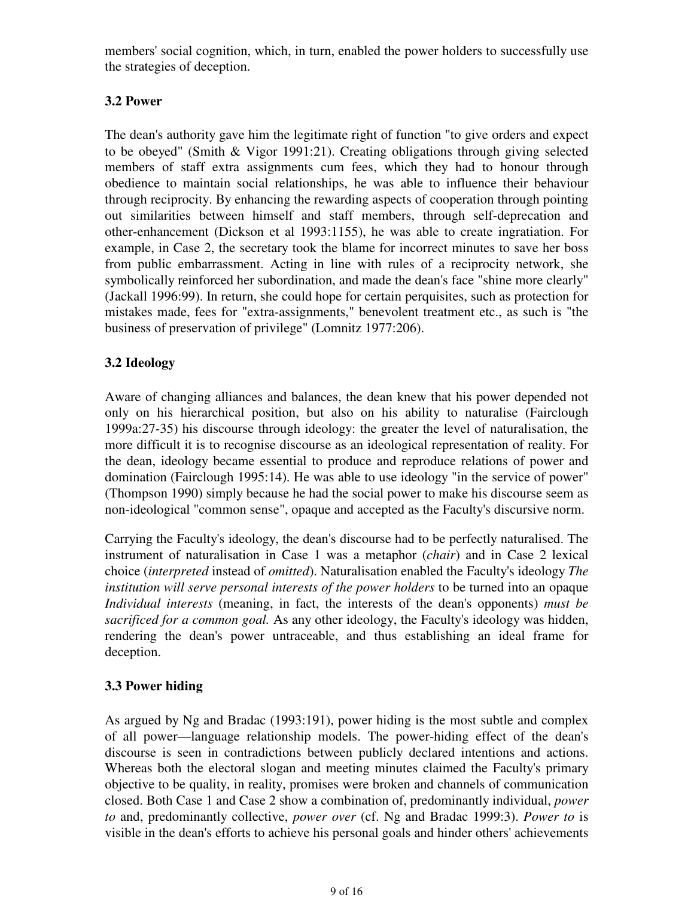members' social cognition, which, in turn, enabled the power holders to successfully use the strategies of deception.

## **3.2 Power**

The dean's authority gave him the legitimate right of function "to give orders and expect to be obeyed" (Smith & Vigor 1991:21). Creating obligations through giving selected members of staff extra assignments cum fees, which they had to honour through obedience to maintain social relationships, he was able to influence their behaviour through reciprocity. By enhancing the rewarding aspects of cooperation through pointing out similarities between himself and staff members, through self-deprecation and other-enhancement (Dickson et al 1993:1155), he was able to create ingratiation. For example, in Case 2, the secretary took the blame for incorrect minutes to save her boss from public embarrassment. Acting in line with rules of a reciprocity network, she symbolically reinforced her subordination, and made the dean's face "shine more clearly" (Jackall 1996:99). In return, she could hope for certain perquisites, such as protection for mistakes made, fees for "extra-assignments," benevolent treatment etc., as such is "the business of preservation of privilege" (Lomnitz 1977:206).

## **3.2 Ideology**

Aware of changing alliances and balances, the dean knew that his power depended not only on his hierarchical position, but also on his ability to naturalise (Fairclough 1999a:27-35) his discourse through ideology: the greater the level of naturalisation, the more difficult it is to recognise discourse as an ideological representation of reality. For the dean, ideology became essential to produce and reproduce relations of power and domination (Fairclough 1995:14). He was able to use ideology "in the service of power" (Thompson 1990) simply because he had the social power to make his discourse seem as non-ideological "common sense", opaque and accepted as the Faculty's discursive norm.

Carrying the Faculty's ideology, the dean's discourse had to be perfectly naturalised. The instrument of naturalisation in Case 1 was a metaphor (*chair*) and in Case 2 lexical choice (*interpreted* instead of *omitted*). Naturalisation enabled the Faculty's ideology *The institution will serve personal interests of the power holders* to be turned into an opaque *Individual interests* (meaning, in fact, the interests of the dean's opponents) *must be sacrificed for a common goal.* As any other ideology, the Faculty's ideology was hidden, rendering the dean's power untraceable, and thus establishing an ideal frame for deception.

## **3.3 Power hiding**

As argued by Ng and Bradac (1993:191), power hiding is the most subtle and complex of all power—language relationship models. The power-hiding effect of the dean's discourse is seen in contradictions between publicly declared intentions and actions. Whereas both the electoral slogan and meeting minutes claimed the Faculty's primary objective to be quality, in reality, promises were broken and channels of communication closed. Both Case 1 and Case 2 show a combination of, predominantly individual, *power to* and, predominantly collective, *power over* (cf. Ng and Bradac 1999:3). *Power to* is visible in the dean's efforts to achieve his personal goals and hinder others' achievements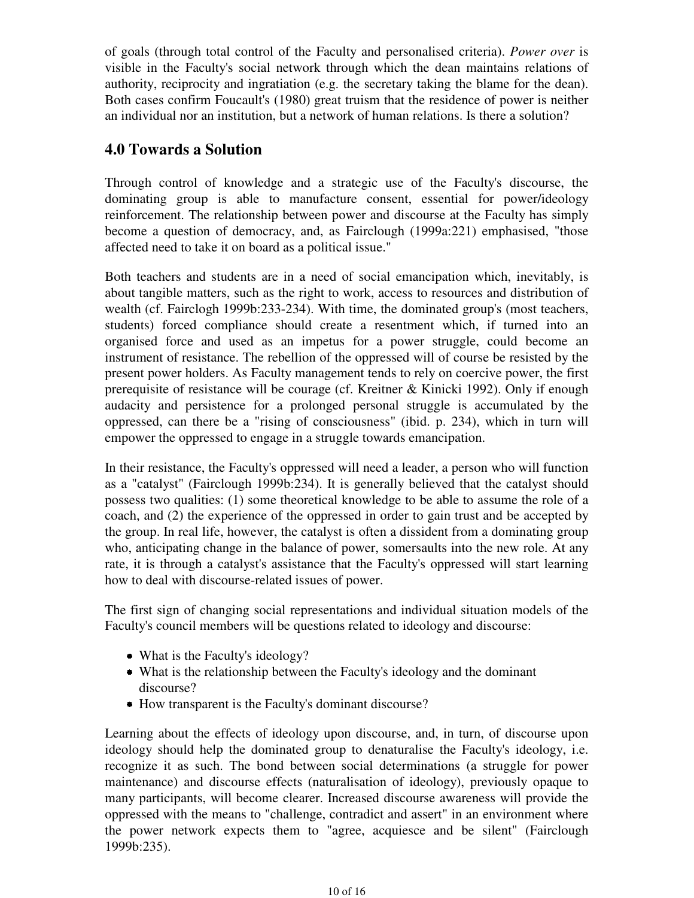of goals (through total control of the Faculty and personalised criteria). *Power over* is visible in the Faculty's social network through which the dean maintains relations of authority, reciprocity and ingratiation (e.g. the secretary taking the blame for the dean). Both cases confirm Foucault's (1980) great truism that the residence of power is neither an individual nor an institution, but a network of human relations. Is there a solution?

## **4.0 Towards a Solution**

Through control of knowledge and a strategic use of the Faculty's discourse, the dominating group is able to manufacture consent, essential for power/ideology reinforcement. The relationship between power and discourse at the Faculty has simply become a question of democracy, and, as Fairclough (1999a:221) emphasised, "those affected need to take it on board as a political issue."

Both teachers and students are in a need of social emancipation which, inevitably, is about tangible matters, such as the right to work, access to resources and distribution of wealth (cf. Fairclogh 1999b:233-234). With time, the dominated group's (most teachers, students) forced compliance should create a resentment which, if turned into an organised force and used as an impetus for a power struggle, could become an instrument of resistance. The rebellion of the oppressed will of course be resisted by the present power holders. As Faculty management tends to rely on coercive power, the first prerequisite of resistance will be courage (cf. Kreitner & Kinicki 1992). Only if enough audacity and persistence for a prolonged personal struggle is accumulated by the oppressed, can there be a "rising of consciousness" (ibid. p. 234), which in turn will empower the oppressed to engage in a struggle towards emancipation.

In their resistance, the Faculty's oppressed will need a leader, a person who will function as a "catalyst" (Fairclough 1999b:234). It is generally believed that the catalyst should possess two qualities: (1) some theoretical knowledge to be able to assume the role of a coach, and (2) the experience of the oppressed in order to gain trust and be accepted by the group. In real life, however, the catalyst is often a dissident from a dominating group who, anticipating change in the balance of power, somersaults into the new role. At any rate, it is through a catalyst's assistance that the Faculty's oppressed will start learning how to deal with discourse-related issues of power.

The first sign of changing social representations and individual situation models of the Faculty's council members will be questions related to ideology and discourse:

- What is the Faculty's ideology?
- What is the relationship between the Faculty's ideology and the dominant discourse?
- How transparent is the Faculty's dominant discourse?

Learning about the effects of ideology upon discourse, and, in turn, of discourse upon ideology should help the dominated group to denaturalise the Faculty's ideology, i.e. recognize it as such. The bond between social determinations (a struggle for power maintenance) and discourse effects (naturalisation of ideology), previously opaque to many participants, will become clearer. Increased discourse awareness will provide the oppressed with the means to "challenge, contradict and assert" in an environment where the power network expects them to "agree, acquiesce and be silent" (Fairclough 1999b:235).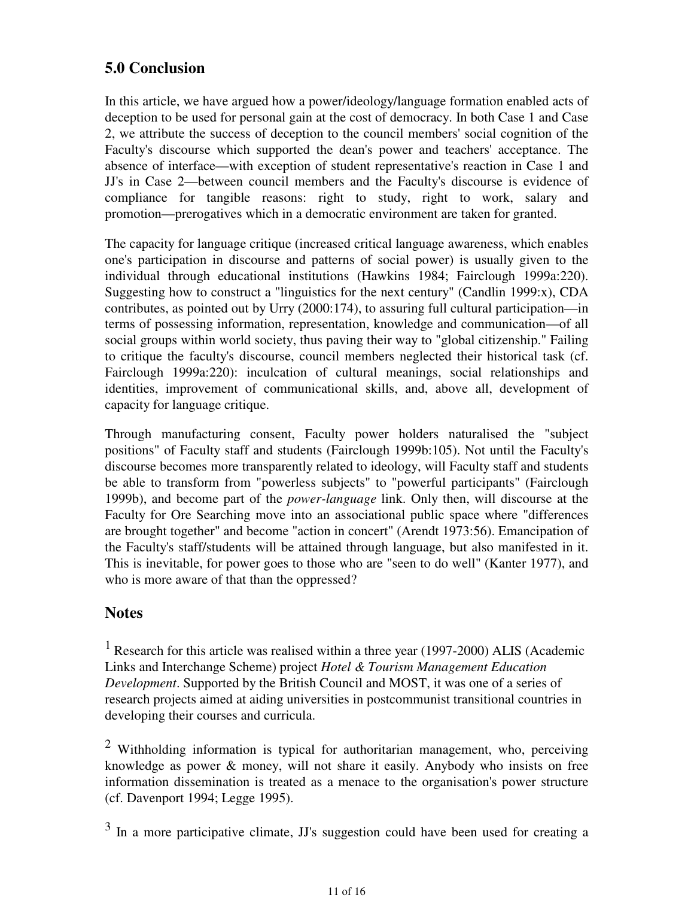## **5.0 Conclusion**

In this article, we have argued how a power/ideology/language formation enabled acts of deception to be used for personal gain at the cost of democracy. In both Case 1 and Case 2, we attribute the success of deception to the council members' social cognition of the Faculty's discourse which supported the dean's power and teachers' acceptance. The absence of interface—with exception of student representative's reaction in Case 1 and JJ's in Case 2—between council members and the Faculty's discourse is evidence of compliance for tangible reasons: right to study, right to work, salary and promotion—prerogatives which in a democratic environment are taken for granted.

The capacity for language critique (increased critical language awareness, which enables one's participation in discourse and patterns of social power) is usually given to the individual through educational institutions (Hawkins 1984; Fairclough 1999a:220). Suggesting how to construct a "linguistics for the next century" (Candlin 1999:x), CDA contributes, as pointed out by Urry (2000:174), to assuring full cultural participation—in terms of possessing information, representation, knowledge and communication—of all social groups within world society, thus paving their way to "global citizenship." Failing to critique the faculty's discourse, council members neglected their historical task (cf. Fairclough 1999a:220): inculcation of cultural meanings, social relationships and identities, improvement of communicational skills, and, above all, development of capacity for language critique.

Through manufacturing consent, Faculty power holders naturalised the "subject positions" of Faculty staff and students (Fairclough 1999b:105). Not until the Faculty's discourse becomes more transparently related to ideology, will Faculty staff and students be able to transform from "powerless subjects" to "powerful participants" (Fairclough 1999b), and become part of the *power-language* link. Only then, will discourse at the Faculty for Ore Searching move into an associational public space where "differences are brought together" and become "action in concert" (Arendt 1973:56). Emancipation of the Faculty's staff/students will be attained through language, but also manifested in it. This is inevitable, for power goes to those who are "seen to do well" (Kanter 1977), and who is more aware of that than the oppressed?

## **Notes**

<sup>1</sup> Research for this article was realised within a three year (1997-2000) ALIS (Academic Links and Interchange Scheme) project *Hotel & Tourism Management Education Development*. Supported by the British Council and MOST, it was one of a series of research projects aimed at aiding universities in postcommunist transitional countries in developing their courses and curricula.

 $2$  Withholding information is typical for authoritarian management, who, perceiving knowledge as power & money, will not share it easily. Anybody who insists on free information dissemination is treated as a menace to the organisation's power structure (cf. Davenport 1994; Legge 1995).

 $3 \text{ In a more participative climate}, \text{JJ's suggestion could have been used for creating a.}$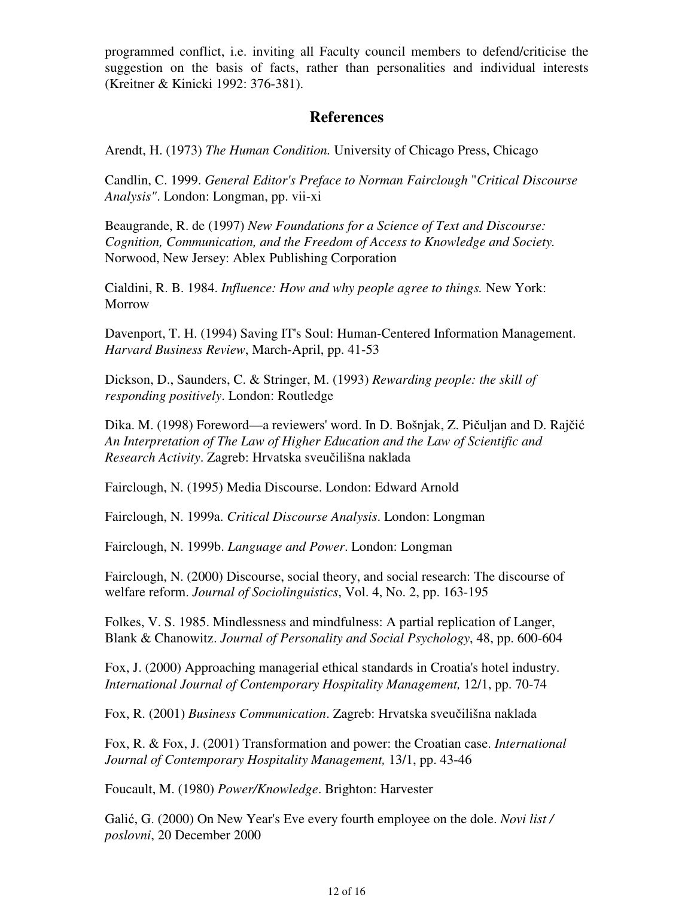programmed conflict, i.e. inviting all Faculty council members to defend/criticise the suggestion on the basis of facts, rather than personalities and individual interests (Kreitner & Kinicki 1992: 376-381).

## **References**

Arendt, H. (1973) *The Human Condition.* University of Chicago Press, Chicago

Candlin, C. 1999. *General Editor's Preface to Norman Fairclough* "*Critical Discourse Analysis"*. London: Longman, pp. vii-xi

Beaugrande, R. de (1997) *New Foundations for a Science of Text and Discourse: Cognition, Communication, and the Freedom of Access to Knowledge and Society.* Norwood, New Jersey: Ablex Publishing Corporation

Cialdini, R. B. 1984. *Influence: How and why people agree to things.* New York: Morrow

Davenport, T. H. (1994) Saving IT's Soul: Human-Centered Information Management. *Harvard Business Review*, March-April, pp. 41-53

Dickson, D., Saunders, C. & Stringer, M. (1993) *Rewarding people: the skill of responding positively*. London: Routledge

Dika. M. (1998) Foreword—a reviewers' word. In D. Bošnjak, Z. Pičuljan and D. Rajčić *An Interpretation of The Law of Higher Education and the Law of Scientific and Research Activity*. Zagreb: Hrvatska sveučilišna naklada

Fairclough, N. (1995) Media Discourse. London: Edward Arnold

Fairclough, N. 1999a. *Critical Discourse Analysis*. London: Longman

Fairclough, N. 1999b. *Language and Power*. London: Longman

Fairclough, N. (2000) Discourse, social theory, and social research: The discourse of welfare reform. *Journal of Sociolinguistics*, Vol. 4, No. 2, pp. 163-195

Folkes, V. S. 1985. Mindlessness and mindfulness: A partial replication of Langer, Blank & Chanowitz. *Journal of Personality and Social Psychology*, 48, pp. 600-604

Fox, J. (2000) Approaching managerial ethical standards in Croatia's hotel industry. *International Journal of Contemporary Hospitality Management,* 12/1, pp. 70-74

Fox, R. (2001) *Business Communication*. Zagreb: Hrvatska sveučilišna naklada

Fox, R. & Fox, J. (2001) Transformation and power: the Croatian case. *International Journal of Contemporary Hospitality Management,* 13/1, pp. 43-46

Foucault, M. (1980) *Power/Knowledge*. Brighton: Harvester

Galić, G. (2000) On New Year's Eve every fourth employee on the dole. *Novi list / poslovni*, 20 December 2000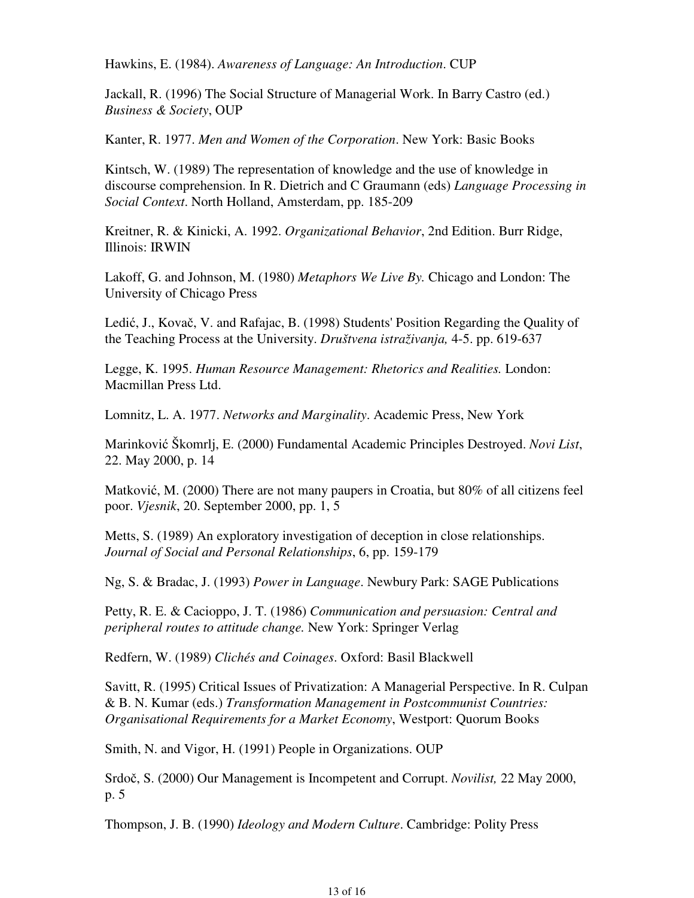Hawkins, E. (1984). *Awareness of Language: An Introduction*. CUP

Jackall, R. (1996) The Social Structure of Managerial Work. In Barry Castro (ed.) *Business & Society*, OUP

Kanter, R. 1977. *Men and Women of the Corporation*. New York: Basic Books

Kintsch, W. (1989) The representation of knowledge and the use of knowledge in discourse comprehension. In R. Dietrich and C Graumann (eds) *Language Processing in Social Context*. North Holland, Amsterdam, pp. 185-209

Kreitner, R. & Kinicki, A. 1992. *Organizational Behavior*, 2nd Edition. Burr Ridge, Illinois: IRWIN

Lakoff, G. and Johnson, M. (1980) *Metaphors We Live By.* Chicago and London: The University of Chicago Press

Ledić, J., Kovač, V. and Rafajac, B. (1998) Students' Position Regarding the Quality of the Teaching Process at the University. *Društvena istraživanja,* 4-5. pp. 619-637

Legge, K. 1995. *Human Resource Management: Rhetorics and Realities.* London: Macmillan Press Ltd.

Lomnitz, L. A. 1977. *Networks and Marginality*. Academic Press, New York

Marinković Škomrlj, E. (2000) Fundamental Academic Principles Destroyed. *Novi List*, 22. May 2000, p. 14

Matković, M. (2000) There are not many paupers in Croatia, but 80% of all citizens feel poor. *Vjesnik*, 20. September 2000, pp. 1, 5

Metts, S. (1989) An exploratory investigation of deception in close relationships. *Journal of Social and Personal Relationships*, 6, pp. 159-179

Ng, S. & Bradac, J. (1993) *Power in Language*. Newbury Park: SAGE Publications

Petty, R. E. & Cacioppo, J. T. (1986) *Communication and persuasion: Central and peripheral routes to attitude change.* New York: Springer Verlag

Redfern, W. (1989) *Clichés and Coinages*. Oxford: Basil Blackwell

Savitt, R. (1995) Critical Issues of Privatization: A Managerial Perspective. In R. Culpan & B. N. Kumar (eds.) *Transformation Management in Postcommunist Countries: Organisational Requirements for a Market Economy*, Westport: Quorum Books

Smith, N. and Vigor, H. (1991) People in Organizations. OUP

Srdoč, S. (2000) Our Management is Incompetent and Corrupt. *Novilist,* 22 May 2000, p. 5

Thompson, J. B. (1990) *Ideology and Modern Culture*. Cambridge: Polity Press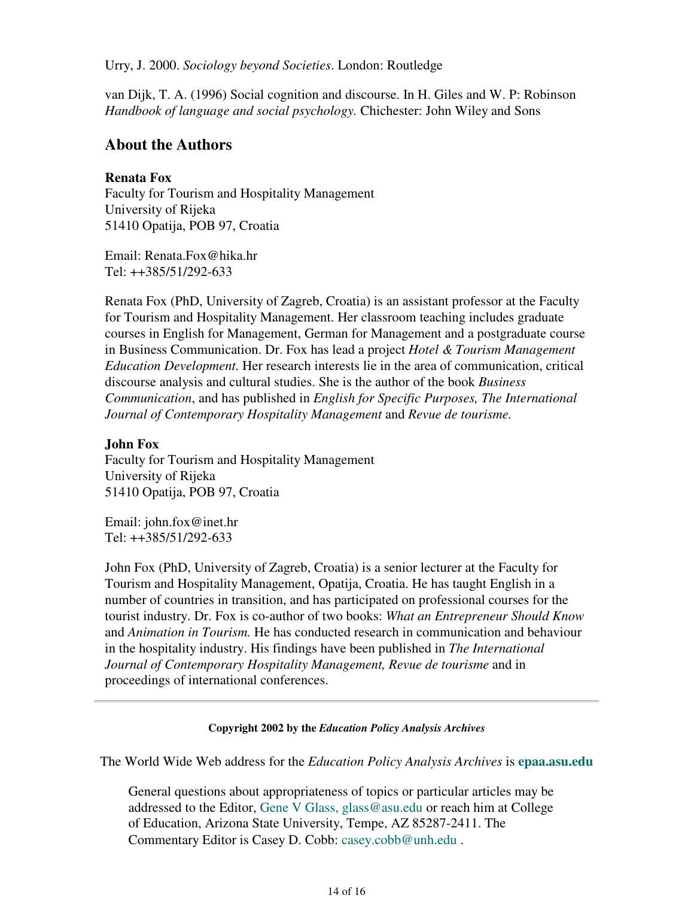Urry, J. 2000. *Sociology beyond Societies*. London: Routledge

van Dijk, T. A. (1996) Social cognition and discourse. In H. Giles and W. P: Robinson *Handbook of language and social psychology.* Chichester: John Wiley and Sons

## **About the Authors**

### **Renata Fox**

Faculty for Tourism and Hospitality Management University of Rijeka 51410 Opatija, POB 97, Croatia

Email: Renata.Fox@hika.hr Tel: ++385/51/292-633

Renata Fox (PhD, University of Zagreb, Croatia) is an assistant professor at the Faculty for Tourism and Hospitality Management. Her classroom teaching includes graduate courses in English for Management, German for Management and a postgraduate course in Business Communication. Dr. Fox has lead a project *Hotel & Tourism Management Education Development.* Her research interests lie in the area of communication, critical discourse analysis and cultural studies. She is the author of the book *Business Communication*, and has published in *English for Specific Purposes, The International Journal of Contemporary Hospitality Management* and *Revue de tourisme.*

### **John Fox**

Faculty for Tourism and Hospitality Management University of Rijeka 51410 Opatija, POB 97, Croatia

Email: john.fox@inet.hr Tel: ++385/51/292-633

John Fox (PhD, University of Zagreb, Croatia) is a senior lecturer at the Faculty for Tourism and Hospitality Management, Opatija, Croatia. He has taught English in a number of countries in transition, and has participated on professional courses for the tourist industry. Dr. Fox is co-author of two books: *What an Entrepreneur Should Know* and *Animation in Tourism.* He has conducted research in communication and behaviour in the hospitality industry. His findings have been published in *The International Journal of Contemporary Hospitality Management, Revue de tourisme* and in proceedings of international conferences.

### **Copyright 2002 by the** *Education Policy Analysis Archives*

The World Wide Web address for the *Education Policy Analysis Archives* is **epaa.asu.edu**

General questions about appropriateness of topics or particular articles may be addressed to the Editor, Gene V Glass, glass@asu.edu or reach him at College of Education, Arizona State University, Tempe, AZ 85287-2411. The Commentary Editor is Casey D. Cobb: casey.cobb@unh.edu .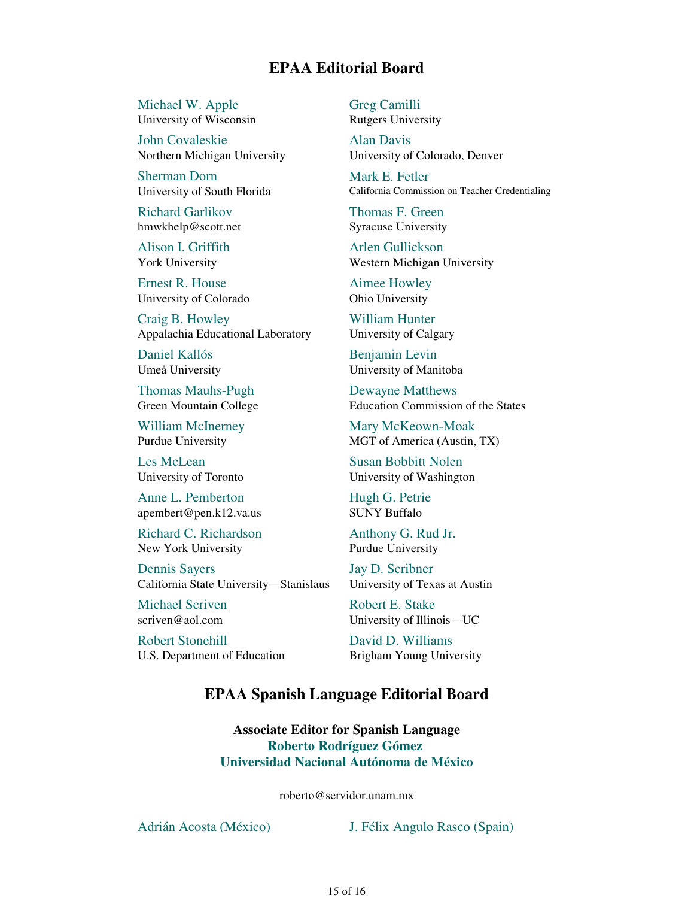## **EPAA Editorial Board**

Michael W. Apple University of Wisconsin

John Covaleskie Northern Michigan University

Sherman Dorn University of South Florida

Richard Garlikov hmwkhelp@scott.net

Alison I. Griffith York University

Ernest R. House University of Colorado

Craig B. Howley Appalachia Educational Laboratory

Daniel Kallós Umeå University

Thomas Mauhs-Pugh Green Mountain College

William McInerney Purdue University

Les McLean University of Toronto

Anne L. Pemberton apembert@pen.k12.va.us

Richard C. Richardson New York University

Dennis Sayers California State University—Stanislaus

Michael Scriven scriven@aol.com

Robert Stonehill U.S. Department of Education Greg Camilli Rutgers University

Alan Davis University of Colorado, Denver

Mark E. Fetler California Commission on Teacher Credentialing

Thomas F. Green Syracuse University

Arlen Gullickson Western Michigan University

Aimee Howley Ohio University

William Hunter University of Calgary

Benjamin Levin University of Manitoba

Dewayne Matthews Education Commission of the States

Mary McKeown-Moak MGT of America (Austin, TX)

Susan Bobbitt Nolen University of Washington

Hugh G. Petrie SUNY Buffalo

Anthony G. Rud Jr. Purdue University

Jay D. Scribner University of Texas at Austin

Robert E. Stake University of Illinois—UC

David D. Williams Brigham Young University

## **EPAA Spanish Language Editorial Board**

**Associate Editor for Spanish Language Roberto Rodríguez Gómez Universidad Nacional Autónoma de México**

roberto@servidor.unam.mx

Adrián Acosta (México) J. Félix Angulo Rasco (Spain)